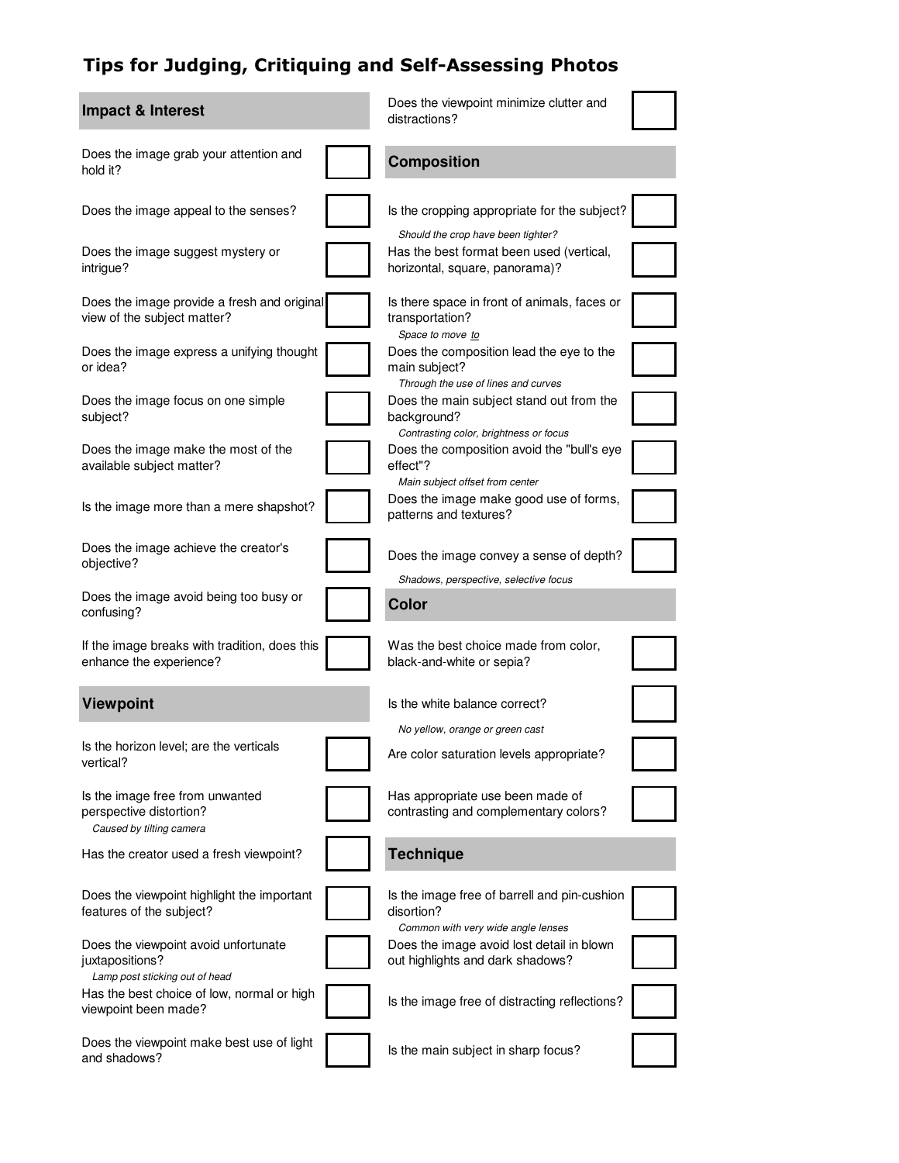## Tips for Judging, Critiquing and Self-Assessing Photos

| Impact & Interest                                                                         | Does the viewpoint minimize clutter and<br>distractions?                                                             |  |
|-------------------------------------------------------------------------------------------|----------------------------------------------------------------------------------------------------------------------|--|
| Does the image grab your attention and<br>hold it?                                        | <b>Composition</b>                                                                                                   |  |
| Does the image appeal to the senses?                                                      | Is the cropping appropriate for the subject?                                                                         |  |
| Does the image suggest mystery or<br>intrigue?                                            | Should the crop have been tighter?<br>Has the best format been used (vertical,<br>horizontal, square, panorama)?     |  |
| Does the image provide a fresh and original<br>view of the subject matter?                | Is there space in front of animals, faces or<br>transportation?                                                      |  |
| Does the image express a unifying thought<br>or idea?                                     | Space to move to<br>Does the composition lead the eye to the<br>main subject?<br>Through the use of lines and curves |  |
| Does the image focus on one simple<br>subject?                                            | Does the main subject stand out from the<br>background?                                                              |  |
| Does the image make the most of the<br>available subject matter?                          | Contrasting color, brightness or focus<br>Does the composition avoid the "bull's eye<br>effect"?                     |  |
| Is the image more than a mere shapshot?                                                   | Main subject offset from center<br>Does the image make good use of forms,<br>patterns and textures?                  |  |
| Does the image achieve the creator's<br>objective?                                        | Does the image convey a sense of depth?                                                                              |  |
| Does the image avoid being too busy or<br>confusing?                                      | Shadows, perspective, selective focus<br><b>Color</b>                                                                |  |
| If the image breaks with tradition, does this<br>enhance the experience?                  | Was the best choice made from color,<br>black-and-white or sepia?                                                    |  |
| <b>Viewpoint</b>                                                                          | Is the white balance correct?                                                                                        |  |
|                                                                                           | No yellow, orange or green cast                                                                                      |  |
| Is the horizon level; are the verticals<br>vertical?                                      | Are color saturation levels appropriate?                                                                             |  |
| Is the image free from unwanted<br>perspective distortion?<br>Caused by tilting camera    | Has appropriate use been made of<br>contrasting and complementary colors?                                            |  |
| Has the creator used a fresh viewpoint?                                                   | <b>Technique</b>                                                                                                     |  |
| Does the viewpoint highlight the important<br>features of the subject?                    | Is the image free of barrell and pin-cushion<br>disortion?<br>Common with very wide angle lenses                     |  |
| Does the viewpoint avoid unfortunate<br>juxtapositions?<br>Lamp post sticking out of head | Does the image avoid lost detail in blown<br>out highlights and dark shadows?                                        |  |
| Has the best choice of low, normal or high<br>viewpoint been made?                        | Is the image free of distracting reflections?                                                                        |  |
| Does the viewpoint make best use of light<br>and shadows?                                 | Is the main subject in sharp focus?                                                                                  |  |